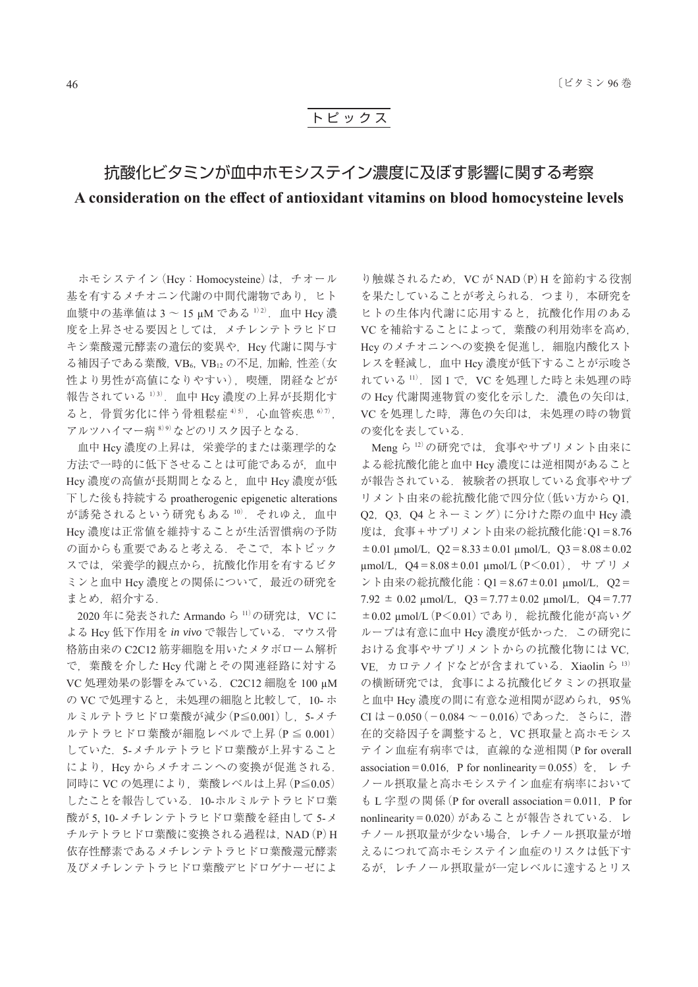## ト ピ ッ ク ス

## 抗酸化ビタミンが血中ホモシステイン濃度に及ぼす影響に関する考察 A consideration on the effect of antioxidant vitamins on blood homocysteine levels

 ホモシステイン(Hcy:Homocysteine)は,チオール 基を有するメチオニン代謝の中間代謝物であり、ヒト 血漿中の基準値は 3 ~ 15 μM である <sup>1)2)</sup>. 血中 Hcy 濃 度を上昇させる要因としては,メチレンテトラヒドロ キシ葉酸還元酵素の遺伝的変異や、Hcy 代謝に関与す る補因子である葉酸, VB6, VB12 の不足, 加齢, 性差 (女 性より男性が高値になりやすい),喫煙,閉経などが 報告されている <sup>1</sup>)<sup>3</sup>).血中 Hcy 濃度の上昇が長期化す ると、骨質劣化に伴う骨粗鬆症 4)5), 心血管疾患 67), アルツハイマー病 <sup>8</sup>)<sup>9</sup>)などのリスク因子となる.

 血中 Hcy 濃度の上昇は,栄養学的または薬理学的な 方法で一時的に低下させることは可能であるが,血中 Hcy 濃度の高値が長期間となると,血中 Hcy 濃度が低 下した後も持続する proatherogenic epigenetic alterations が誘発されるという研究もある 10). それゆえ、血中 Hcy 濃度は正常値を維持することが生活習慣病の予防 の面からも重要であると考える.そこで,本トピック スでは,栄養学的観点から,抗酸化作用を有するビタ ミンと血中 Hcy 濃度との関係について,最近の研究を まとめ 紹介する.

2020年に発表された Armando ら 11) の研究は、VC に よる Hcy 低下作用を *in vivo* で報告している.マウス骨 格筋由来の C2C12 筋芽細胞を用いたメタボローム解析 で,葉酸を介した Hcy 代謝とその関連経路に対する VC 処理効果の影響をみている.C2C12 細胞を 100 μM の VC で処理すると、未処理の細胞と比較して、10- ホ ルミルテトラヒドロ葉酸が減少(P≦0.001)し,5-メチ ルテトラヒドロ葉酸が細胞レベルで上昇(P ≦ 0.001) していた. 5-メチルテトラヒドロ葉酸が上昇すること により、Hcy からメチオニンへの変換が促進される. 同時に VC の処理により,葉酸レベルは上昇(P≦0.05) したことを報告している.10-ホルミルテトラヒドロ葉 酸が 5, 10-メチレンテトラヒドロ葉酸を経由して 5-メ チルテトラヒドロ葉酸に変換される過程は,NAD(P)H 依存性酵素であるメチレンテトラヒドロ葉酸還元酵素 及びメチレンテトラヒドロ葉酸デヒドロゲナーゼによ

り触媒されるため. VC が NAD (P) H を節約する役割 を果たしていることが考えられる.つまり,本研究を ヒトの生体内代謝に応用すると,抗酸化作用のある VC を補給することによって,葉酸の利用効率を高め, Hcy のメチオニンへの変換を促進し、細胞内酸化スト レスを軽減し,血中 Hcy 濃度が低下することが示唆さ れている 11). 図1で、VC を処理した時と未処理の時 の Hcy 代謝関連物質の変化を示した. 濃色の矢印は, VC を処理した時,薄色の矢印は,未処理の時の物質 の変化を表している.

Meng ら 12) の研究では、食事やサプリメント由来に よる総抗酸化能と血中 Hcy 濃度には逆相関があること が報告されている.被験者の摂取している食事やサプ リメント由来の総抗酸化能で四分位(低い方から Q1, Q2,Q3,Q4 とネーミング)に分けた際の血中 Hcy 濃 度は、食事+サプリメント由来の総抗酸化能:Q1=8.76  $\pm 0.01$  μmol/L, Q2 = 8.33  $\pm$  0.01 μmol/L, Q3 = 8.08  $\pm$  0.02 μmol/L, Q4 = 8.08 ± 0.01 μmol/L (P < 0.01),  $\forall$   $\forall$   $\forall$   $\forall$ ント由来の総抗酸化能: Q1=8.67±0.01 μmol/L, Q2=  $7.92 \pm 0.02$  umol/L,  $Q3 = 7.77 \pm 0.02$  umol/L,  $Q4 = 7.77$ ±0.02 μmol/L(P<0.01)であり,総抗酸化能が高いグ ループは有意に血中 Hcy 濃度が低かった.この研究に おける食事やサプリメントからの抗酸化物には VC, VE. カロテノイドなどが含まれている. Xiaolin ら 13) の横断研究では,食事による抗酸化ビタミンの摂取量 と血中 Hcy 濃度の間に有意な逆相関が認められ、95% CI は-0.050(-0.084 ~-0.016)であった. さらに. 潜 在的交絡因子を調整すると,VC 摂取量と高ホモシス テイン血症有病率では,直線的な逆相関(P for overall association = 0.016, P for nonlinearity = 0.055) を, レチ ノール摂取量と高ホモシステイン血症有病率において も L 字型の関係 (P for overall association=0.011, P for nonlinearity=0.020)があることが報告されている.レ チノール摂取量が少ない場合,レチノール摂取量が増 えるにつれて高ホモシステイン血症のリスクは低下す るが,レチノール摂取量が一定レベルに達するとリス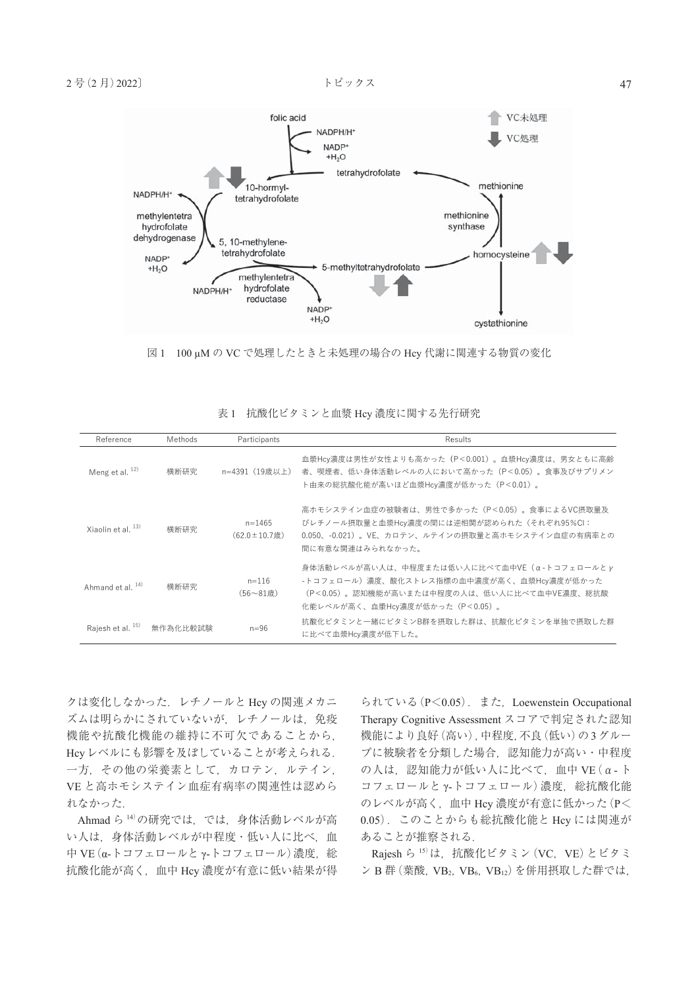

図 1 100 μM の VC で処理したときと未処理の場合の Hcy 代謝に関連する物質の変化

| 表1 抗酸化ビタミンと血漿 Hcy 濃度に関する先行研究 |                |                                   |                                                                                                                                                                           |  |  |  |  |  |  |  |  |
|------------------------------|----------------|-----------------------------------|---------------------------------------------------------------------------------------------------------------------------------------------------------------------------|--|--|--|--|--|--|--|--|
| Reference                    | <b>Methods</b> | Participants                      | Results                                                                                                                                                                   |  |  |  |  |  |  |  |  |
| Meng et al. $^{12)}$         | 横断研究           | n=4391(19歳以上)                     | 血漿Hcy濃度は男性が女性よりも高かった(P<0.001)。血漿Hcy濃度は、男女ともに高齢<br>者、喫煙者、低い身体活動レベルの人において高かった(P<0.05)。食事及びサプリメン<br>ト由来の総抗酸化能が高いほど血漿Hcy濃度が低かった(P<0.01)。                                      |  |  |  |  |  |  |  |  |
| Xiaolin et al. $^{13)}$      | 横断研究           | $n = 1465$<br>$(62.0 \pm 10.7$ 歳) | 高ホモシステイン血症の被験者は、男性で多かった (P<0.05) 。食事によるVC摂取量及<br>びレチノール摂取量と血漿Hcy濃度の間には逆相関が認められた(それぞれ95%CI:<br>0.050、-0.021)。VE、カロテン、ルテインの摂取量と高ホモシステイン血症の有病率との<br>間に有意な関連はみられなかった。         |  |  |  |  |  |  |  |  |
| Ahmand et al. $^{14)}$       | 横断研究           | $n = 116$<br>$(56 - 81$ 歳)        | 身体活動レベルが高い人は、中程度または低い人に比べて血中VE (α-トコフェロールとγ<br>-トコフェロール)濃度、酸化ストレス指標の血中濃度が高く、血漿Hcy濃度が低かった<br>(P<0.05)。認知機能が高いまたは中程度の人は、低い人に比べて血中VE濃度、総抗酸<br>化能レベルが高く、血漿Hcy濃度が低かった(P<0.05)。 |  |  |  |  |  |  |  |  |
| Rajesh et al. 15)            | 無作為化比較試験       | $n=96$                            | 抗酸化ビタミンと一緒にビタミンB群を摂取した群は、抗酸化ビタミンを単独で摂取した群<br>に比べて血漿Hcv濃度が低下した。                                                                                                            |  |  |  |  |  |  |  |  |

|  | 表1 抗酸化ビタミンと血漿 Hcy 濃度に関する先行研究 |  |  |  |  |  |  |  |  |
|--|------------------------------|--|--|--|--|--|--|--|--|
|--|------------------------------|--|--|--|--|--|--|--|--|

クは変化しなかった.レチノールと Hcy の関連メカニ ズムは明らかにされていないが,レチノールは,免疫 機能や抗酸化機能の維持に不可欠であることから, Hcyレベルにも影響を及ぼしていることが考えられる. 一方,その他の栄養素として,カロテン,ルテイン, VE と高ホモシステイン血症有病率の関連性は認めら れなかった.

Ahmad ら <sup>14</sup>)の研究では,では,身体活動レベルが高 い人は,身体活動レベルが中程度・低い人に比べ,血 中 VE  $(α-$ トコフェロールと γ-トコフェロール)濃度, 総 抗酸化能が高く,血中 Hcy 濃度が有意に低い結果が得

られている(P<0.05).また,Loewenstein Occupational Therapy Cognitive Assessment スコアで判定された認知 機能により良好(高い),中程度,不良(低い)の3グルー プに被験者を分類した場合,認知能力が高い・中程度 の人は,認知能力が低い人に比べて,血中 VE(α- ト コフェロールとγ-トコフェロール)濃度,総抗酸化能 のレベルが高く,血中 Hcy 濃度が有意に低かった(P< 0.05).このことからも総抗酸化能と Hcy には関連が あることが推察される.

Rajesh ら  $^{15)}$ は, 抗酸化ビタミン (VC, VE) とビタミ ン B 群 (葉酸, VB<sub>2</sub>, VB<sub>6</sub>, VB<sub>12</sub>) を併用摂取した群では,